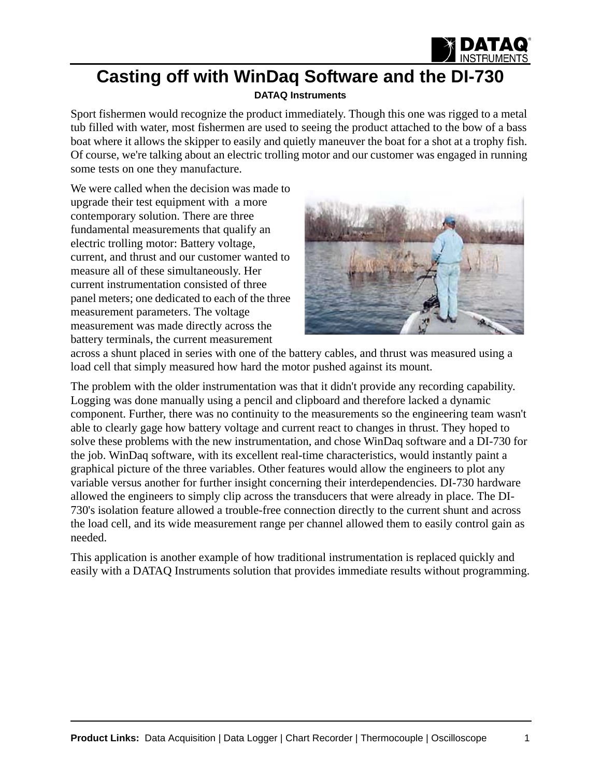

## **Casting off with WinDaq Software and the DI-730**

## **[DATAQ Instruments](http://www.dataq.com)**

Sport fishermen would recognize the product immediately. Though this one was rigged to a metal tub filled with water, most fishermen are used to seeing the product attached to the bow of a bass boat where it allows the skipper to easily and quietly maneuver the boat for a shot at a trophy fish. Of course, we're talking about an electric trolling motor and our customer was engaged in running some tests on one they manufacture.

We were called when the decision was made to upgrade their test equipment with a more contemporary solution. There are three fundamental measurements that qualify an electric trolling motor: Battery voltage, current, and thrust and our customer wanted to measure all of these simultaneously. Her current instrumentation consisted of three panel meters; one dedicated to each of the three measurement parameters. The voltage measurement was made directly across the battery terminals, the current measurement



across a shunt placed in series with one of the battery cables, and thrust was measured using a load cell that simply measured how hard the motor pushed against its mount.

The problem with the older instrumentation was that it didn't provide any recording capability. Logging was done manually using a pencil and clipboard and therefore lacked a dynamic component. Further, there was no continuity to the measurements so the engineering team wasn't able to clearly gage how battery voltage and current react to changes in thrust. They hoped to solve these problems with the new instrumentation, and chose WinDaq software and a DI-730 for the job. WinDaq software, with its excellent real-time characteristics, would instantly paint a graphical picture of the three variables. Other features would allow the engineers to plot any variable versus another for further insight concerning their interdependencies. DI-730 hardware allowed the engineers to simply clip across the transducers that were already in place. The DI-730's isolation feature allowed a trouble-free connection directly to the current shunt and across the load cell, and its wide measurement range per channel allowed them to easily control gain as needed.

This application is another example of how traditional instrumentation is replaced quickly and easily with a DATAQ Instruments solution that provides immediate results without programming.